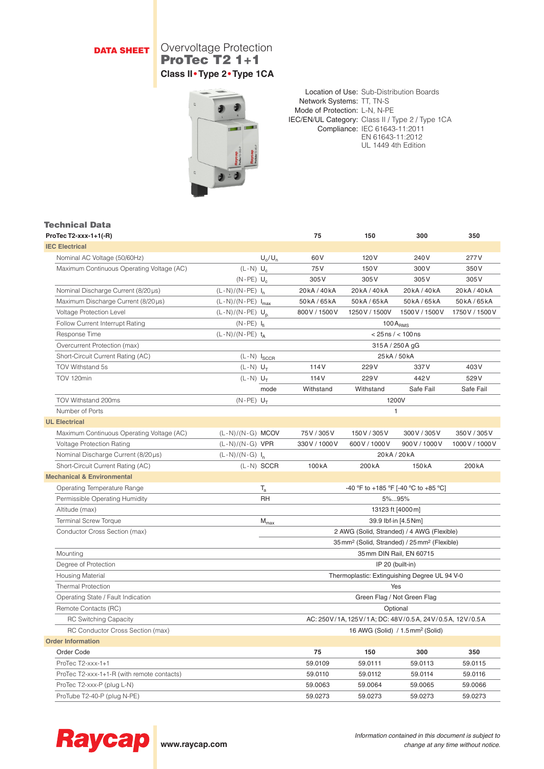# **DATA SHEET** Overvoltage Protection ProTec T2 1+1 **Class II•Type 2•Type 1CA**



Location of Use: Sub-Distribution Boards Network Systems: TT, TN-S Mode of Protection: L-N, N-PE IEC/EN/UL Category: Class II / Type 2 / Type 1CA Compliance: IEC 61643-11:2011 EN 61643-11:2012 UL 1449 4th Edition

### Technical Data

| ProTec T2-xxx-1+1(-R)                      |                               |                    | 75                                                                   | 150                | 300                    | 350                |  |
|--------------------------------------------|-------------------------------|--------------------|----------------------------------------------------------------------|--------------------|------------------------|--------------------|--|
| <b>IEC Electrical</b>                      |                               |                    |                                                                      |                    |                        |                    |  |
| Nominal AC Voltage (50/60Hz)               |                               | $U_0/U_n$          | 60 <sub>V</sub>                                                      | 120 <sub>V</sub>   | 240 V                  | 277V               |  |
| Maximum Continuous Operating Voltage (AC)  | $(L-N)$ $U_c$                 |                    | 75 V                                                                 | 150V               | 300V                   | 350V               |  |
|                                            | $(N-PE)$ U <sub>c</sub>       |                    | 305V                                                                 | 305V               | 305V                   | 305V               |  |
| Nominal Discharge Current (8/20 µs)        | $(L-N)/(N-PE) I_n$            |                    | 20kA/40kA                                                            | 20kA/40kA          | 20kA/40kA              | 20kA/40kA          |  |
| Maximum Discharge Current (8/20µs)         | $(L-N)/(N-PE)$ $I_{max}$      |                    | 50kA/65kA                                                            | 50kA/65kA          | 50kA/65kA              | 50kA/65kA          |  |
| Voltage Protection Level                   | $(L-N)/(N-PE)$ U <sub>n</sub> |                    | 800 V / 1500 V                                                       | 1250 V / 1500 V    | 1500 V / 1500 V        | 1750 V / 1500 V    |  |
| Follow Current Interrupt Rating            | $(N-PE) I_{fi}$               |                    |                                                                      | $100A_{RMS}$       |                        |                    |  |
| Response Time                              | $(L-N)/(N-PE)$ t <sub>A</sub> |                    |                                                                      |                    | $< 25$ ns / $< 100$ ns |                    |  |
| Overcurrent Protection (max)               |                               |                    |                                                                      |                    | 315A / 250A gG         |                    |  |
| Short-Circuit Current Rating (AC)          |                               | $(L-N)$ $I_{SCCR}$ |                                                                      | 25 kA / 50 kA      |                        |                    |  |
| TOV Withstand 5s                           | $(L-N)$ $U_T$                 |                    | 114 <sub>V</sub>                                                     | 229V               | 337V                   | 403V               |  |
| TOV 120min                                 | $(L-N)$ $U_T$                 |                    | 114 <sub>V</sub>                                                     | 229V               | 442V                   | 529V               |  |
|                                            |                               | mode               | Withstand                                                            | Withstand          | Safe Fail              | Safe Fail          |  |
| TOV Withstand 200ms                        | $(N-PE)$ $U_T$                |                    |                                                                      |                    | 1200V                  |                    |  |
| Number of Ports                            |                               |                    |                                                                      | $\mathbf{1}$       |                        |                    |  |
| <b>UL Electrical</b>                       |                               |                    |                                                                      |                    |                        |                    |  |
| Maximum Continuous Operating Voltage (AC)  | $(L-N)/(N-G)$ MCOV            |                    | 75V/305V                                                             | 150 V / 305 V      | 300 V / 305 V          | 350 V / 305 V      |  |
| <b>Voltage Protection Rating</b>           | $(L-N)/(N-G)$ VPR             |                    | 330 V / 1000 V                                                       | 600V/1000V         | 900 V / 1000 V         | 1000 V / 1000 V    |  |
| Nominal Discharge Current (8/20µs)         | $(L-N)/(N-G) I_n$             |                    | 20kA/20kA                                                            |                    |                        |                    |  |
| Short-Circuit Current Rating (AC)          |                               | $(L-N)$ SCCR       | 100 <sub>k</sub> A                                                   | 200 <sub>k</sub> A | 150 <sub>k</sub> A     | 200 <sub>k</sub> A |  |
| <b>Mechanical &amp; Environmental</b>      |                               |                    |                                                                      |                    |                        |                    |  |
| Operating Temperature Range                |                               | $T_{\rm a}$        | -40 °F to +185 °F [-40 °C to +85 °C]                                 |                    |                        |                    |  |
| Permissible Operating Humidity             |                               | RH                 | 5%95%                                                                |                    |                        |                    |  |
| Altitude (max)                             |                               |                    | 13123 ft [4000m]                                                     |                    |                        |                    |  |
| <b>Terminal Screw Torque</b>               |                               | $M_{\text{max}}$   | 39.9 lbf-in [4.5 Nm]                                                 |                    |                        |                    |  |
| Conductor Cross Section (max)              |                               |                    | 2 AWG (Solid, Stranded) / 4 AWG (Flexible)                           |                    |                        |                    |  |
|                                            |                               |                    | 35 mm <sup>2</sup> (Solid, Stranded) / 25 mm <sup>2</sup> (Flexible) |                    |                        |                    |  |
| Mounting                                   |                               |                    | 35 mm DIN Rail, EN 60715                                             |                    |                        |                    |  |
| Degree of Protection                       |                               |                    | IP 20 (built-in)                                                     |                    |                        |                    |  |
| <b>Housing Material</b>                    |                               |                    | Thermoplastic: Extinguishing Degree UL 94 V-0                        |                    |                        |                    |  |
| <b>Thermal Protection</b>                  |                               |                    | Yes                                                                  |                    |                        |                    |  |
| Operating State / Fault Indication         |                               |                    | Green Flag / Not Green Flag                                          |                    |                        |                    |  |
| Remote Contacts (RC)                       |                               |                    | Optional                                                             |                    |                        |                    |  |
| <b>RC Switching Capacity</b>               |                               |                    | AC: 250V/1A, 125V/1A; DC: 48V/0.5A, 24V/0.5A, 12V/0.5A               |                    |                        |                    |  |
| RC Conductor Cross Section (max)           |                               |                    | 16 AWG (Solid) / 1.5 mm <sup>2</sup> (Solid)                         |                    |                        |                    |  |
| <b>Order Information</b>                   |                               |                    |                                                                      |                    |                        |                    |  |
| Order Code                                 |                               |                    | 75                                                                   | 150                | 300                    | 350                |  |
| ProTec T2-xxx-1+1                          |                               |                    | 59.0109                                                              | 59.0111            | 59.0113                | 59.0115            |  |
| ProTec T2-xxx-1+1-R (with remote contacts) |                               |                    | 59.0110                                                              | 59.0112            | 59.0114                | 59.0116            |  |
| ProTec T2-xxx-P (plug L-N)                 |                               |                    | 59.0063                                                              | 59.0064            | 59.0065                | 59.0066            |  |
| ProTube T2-40-P (plug N-PE)                |                               |                    | 59.0273                                                              | 59.0273            | 59.0273                | 59.0273            |  |